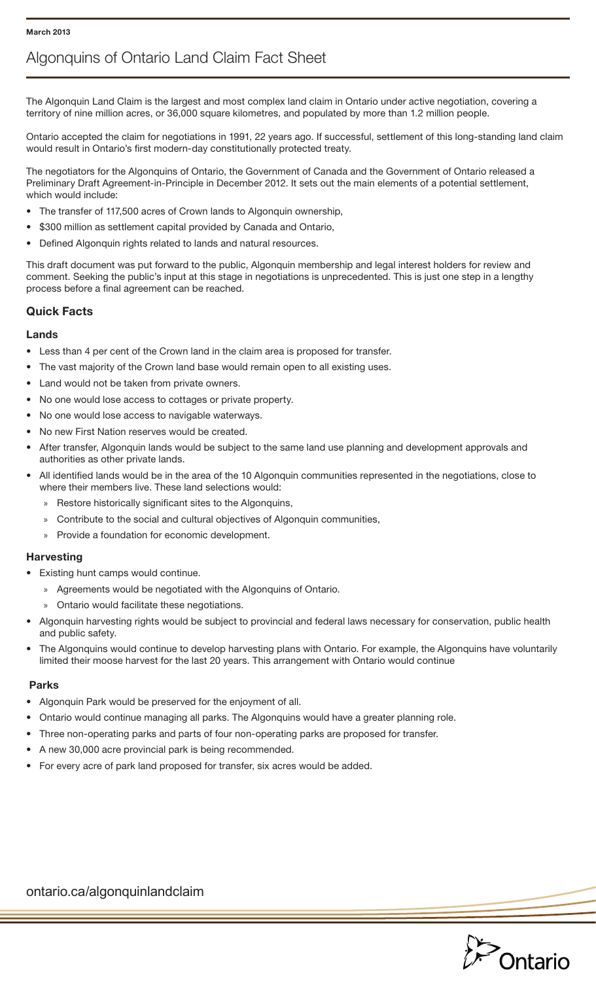# Algonquins of Ontario Land Claim Fact Sheet

The Algonquin Land Claim is the largest and most complex land claim in Ontario under active negotiation, covering a territory of nine million acres, or 36,000 square kilometres, and populated by more than 1.2 million people.

Ontario accepted the claim for negotiations in 1991, 22 years ago. If successful, settlement of this long-standing land claim would result in Ontario's first modern-day constitutionally protected treaty.

The negotiators for the Algonquins of Ontario, the Government of Canada and the Government of Ontario released a Preliminary Draft Agreement-in-Principle in December 2012. It sets out the main elements of a potential settlement, which would include:

- The transfer of 117,500 acres of Crown lands to Algonquin ownership,
- \$300 million as settlement capital provided by Canada and Ontario,
- Defined Algonquin rights related to lands and natural resources.

This draft document was put forward to the public, Algonquin membership and legal interest holders for review and comment. Seeking the public's input at this stage in negotiations is unprecedented. This is just one step in a lengthy process before a final agreement can be reached.

## Quick Facts

#### Lands

- Less than 4 per cent of the Crown land in the claim area is proposed for transfer.
- The vast majority of the Crown land base would remain open to all existing uses.
- Land would not be taken from private owners.
- No one would lose access to cottages or private property.
- No one would lose access to navigable waterways.
- No new First Nation reserves would be created.
- After transfer, Algonquin lands would be subject to the same land use planning and development approvals and authorities as other private lands.
- All identified lands would be in the area of the 10 Algonquin communities represented in the negotiations, close to where their members live. These land selections would:
	- » Restore historically significant sites to the Algonquins,
	- » Contribute to the social and cultural objectives of Algonquin communities,
	- » Provide a foundation for economic development.

#### **Harvesting**

- Existing hunt camps would continue.
	- » Agreements would be negotiated with the Algonquins of Ontario.
	- » Ontario would facilitate these negotiations.
- Algonquin harvesting rights would be subject to provincial and federal laws necessary for conservation, public health and public safety.
- The Algonquins would continue to develop harvesting plans with Ontario. For example, the Algonquins have voluntarily limited their moose harvest for the last 20 years. This arrangement with Ontario would continue

#### Parks

- Algonquin Park would be preserved for the enjoyment of all.
- Ontario would continue managing all parks. The Algonquins would have a greater planning role.
- Three non-operating parks and parts of four non-operating parks are proposed for transfer.
- A new 30,000 acre provincial park is being recommended.
- For every acre of park land proposed for transfer, six acres would be added.



ontario.ca/algonquinlandclaim